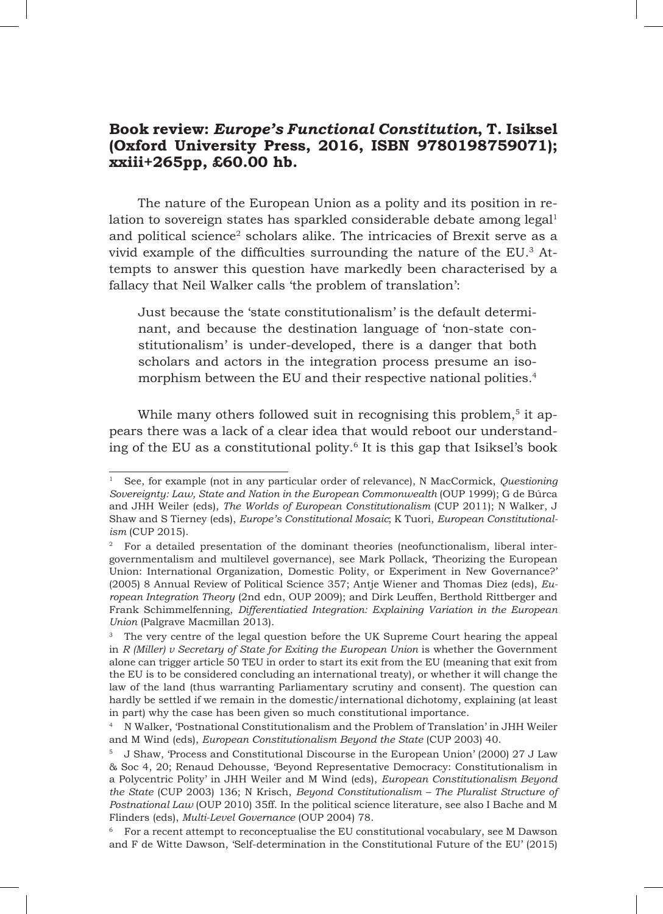## **Book review:** *Europe's Functional Constitution***, T. Isiksel (Oxford University Press, 2016, ISBN 9780198759071); xxiii+265pp, £60.00 hb.**

The nature of the European Union as a polity and its position in relation to sovereign states has sparkled considerable debate among  $legal<sup>1</sup>$ and political science<sup>2</sup> scholars alike. The intricacies of Brexit serve as a vivid example of the difficulties surrounding the nature of the EU.3 Attempts to answer this question have markedly been characterised by a fallacy that Neil Walker calls 'the problem of translation':

Just because the 'state constitutionalism' is the default determinant, and because the destination language of 'non-state constitutionalism' is under-developed, there is a danger that both scholars and actors in the integration process presume an isomorphism between the EU and their respective national polities*.* 4

While many others followed suit in recognising this problem,<sup>5</sup> it appears there was a lack of a clear idea that would reboot our understanding of the EU as a constitutional polity.6 It is this gap that Isiksel's book

<sup>1</sup> See, for example (not in any particular order of relevance), N MacCormick, *Questioning Sovereignty: Law, State and Nation in the European Commonwealth (OUP 1999); G de Búrca* and JHH Weiler (eds), *The Worlds of European Constitutionalism* (CUP 2011); N Walker, J Shaw and S Tierney (eds), *Europe's Constitutional Mosaic*; K Tuori, *European Constitutionalism* (CUP 2015).

<sup>2</sup> For a detailed presentation of the dominant theories (neofunctionalism, liberal intergovernmentalism and multilevel governance), see Mark Pollack, 'Theorizing the European Union: International Organization, Domestic Polity, or Experiment in New Governance?' (2005) 8 Annual Review of Political Science 357; Antje Wiener and Thomas Diez (eds), *European Integration Theory* (2nd edn, OUP 2009); and Dirk Leuffen, Berthold Rittberger and Frank Schimmelfenning, *Differentiatied Integration: Explaining Variation in the European Union* (Palgrave Macmillan 2013).

<sup>&</sup>lt;sup>3</sup> The very centre of the legal question before the UK Supreme Court hearing the appeal in *R* (Miller) v Secretary of State for Exiting the European Union is whether the Government alone can trigger article 50 TEU in order to start its exit from the EU (meaning that exit from the EU is to be considered concluding an international treaty), or whether it will change the law of the land (thus warranting Parliamentary scrutiny and consent). The question can hardly be settled if we remain in the domestic/international dichotomy, explaining (at least in part) why the case has been given so much constitutional importance.

<sup>4</sup> N Walker, 'Postnational Constitutionalism and the Problem of Translation' in JHH Weiler and M Wind (eds), *European Constitutionalism Beyond the State* (CUP 2003) 40.

<sup>5</sup> J Shaw, 'Process and Constitutional Discourse in the European Union' (2000) 27 J Law & Soc 4, 20; Renaud Dehousse, 'Beyond Representative Democracy: Constitutionalism in a Polycentric Polity' in JHH Weiler and M Wind (eds), *European Constitutionalism Beyond the State* (CUP 2003) 136; N Krisch, *Beyond Constitutionalism – The Pluralist Structure of Postnational Law* (OUP 2010) 35ff. In the political science literature, see also I Bache and M Flinders (eds), *Multi-Level Governance* (OUP 2004) 78.

<sup>6</sup> For a recent attempt to reconceptualise the EU constitutional vocabulary, see M Dawson and F de Witte Dawson, 'Self-determination in the Constitutional Future of the EU' (2015)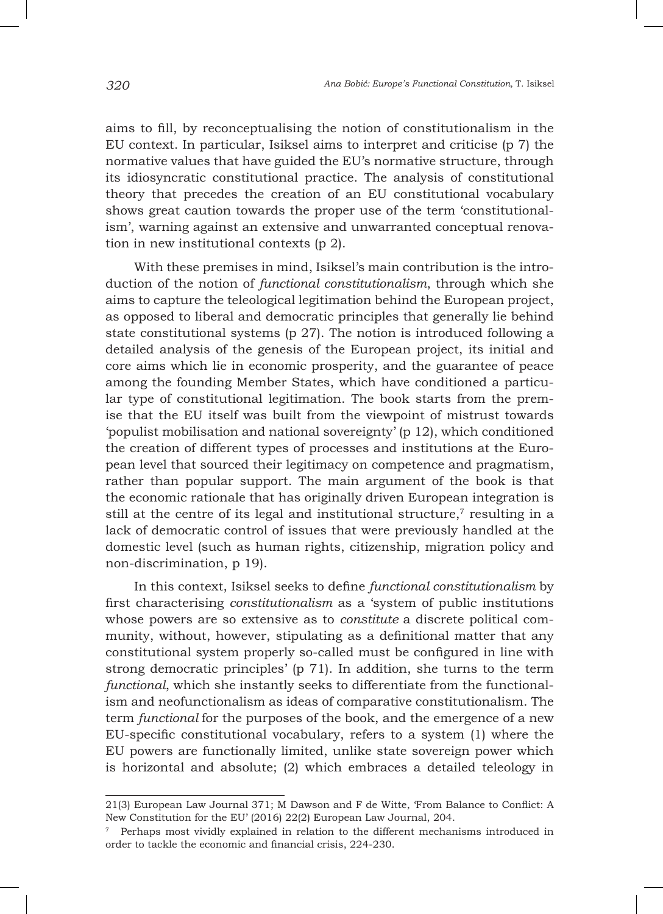aims to fill, by reconceptualising the notion of constitutionalism in the EU context. In particular, Isiksel aims to interpret and criticise (p 7) the normative values that have guided the EU's normative structure, through its idiosyncratic constitutional practice. The analysis of constitutional theory that precedes the creation of an EU constitutional vocabulary shows great caution towards the proper use of the term 'constitutionalism', warning against an extensive and unwarranted conceptual renovation in new institutional contexts (p 2).

With these premises in mind, Isiksel's main contribution is the introduction of the notion of *functional constitutionalism*, through which she aims to capture the teleological legitimation behind the European project, as opposed to liberal and democratic principles that generally lie behind state constitutional systems (p 27). The notion is introduced following a detailed analysis of the genesis of the European project, its initial and core aims which lie in economic prosperity, and the guarantee of peace among the founding Member States, which have conditioned a particular type of constitutional legitimation. The book starts from the premise that the EU itself was built from the viewpoint of mistrust towards 'populist mobilisation and national sovereignty' (p 12), which conditioned the creation of different types of processes and institutions at the European level that sourced their legitimacy on competence and pragmatism, rather than popular support. The main argument of the book is that the economic rationale that has originally driven European integration is still at the centre of its legal and institutional structure, $\tau$  resulting in a lack of democratic control of issues that were previously handled at the domestic level (such as human rights, citizenship, migration policy and non-discrimination, p 19).

In this context, Isiksel seeks to define *functional constitutionalism* by first characterising *constitutionalism* as a 'system of public institutions whose powers are so extensive as to *constitute* a discrete political community, without, however, stipulating as a definitional matter that any constitutional system properly so-called must be configured in line with strong democratic principles' (p 71). In addition, she turns to the term *functional*, which she instantly seeks to differentiate from the functionalism and neofunctionalism as ideas of comparative constitutionalism. The term *functional* for the purposes of the book, and the emergence of a new EU-specific constitutional vocabulary, refers to a system (1) where the EU powers are functionally limited, unlike state sovereign power which is horizontal and absolute; (2) which embraces a detailed teleology in

<sup>21(3)</sup> European Law Journal 371; M Dawson and F de Witte, 'From Balance to Conflict: A New Constitution for the EU' (2016) 22(2) European Law Journal, 204.

 $7$  Perhaps most vividly explained in relation to the different mechanisms introduced in order to tackle the economic and financial crisis, 224-230.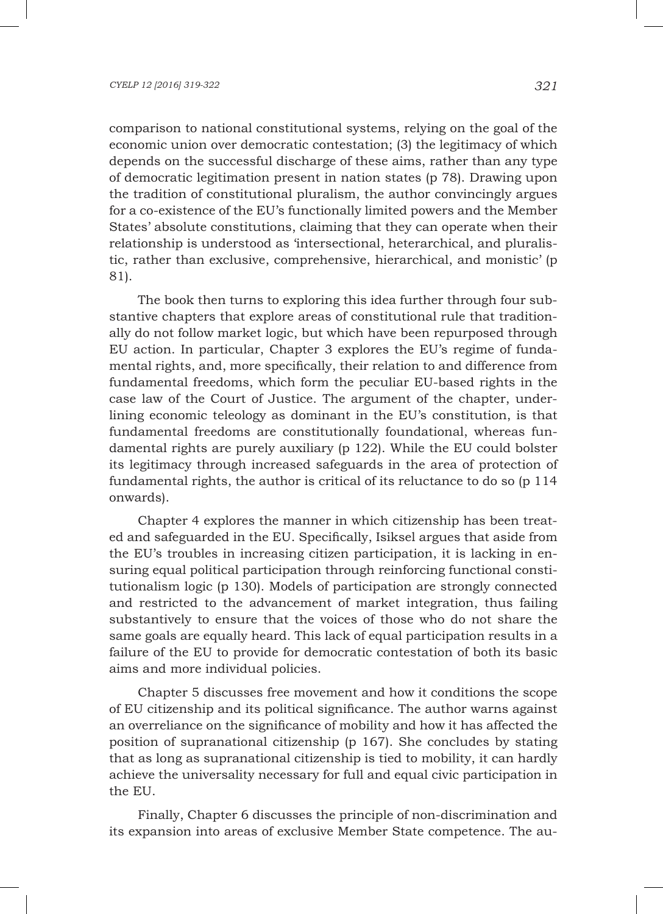comparison to national constitutional systems, relying on the goal of the economic union over democratic contestation; (3) the legitimacy of which depends on the successful discharge of these aims, rather than any type of democratic legitimation present in nation states (p 78). Drawing upon the tradition of constitutional pluralism, the author convincingly argues for a co-existence of the EU's functionally limited powers and the Member States' absolute constitutions, claiming that they can operate when their relationship is understood as 'intersectional, heterarchical, and pluralistic, rather than exclusive, comprehensive, hierarchical, and monistic' (p 81).

The book then turns to exploring this idea further through four substantive chapters that explore areas of constitutional rule that traditionally do not follow market logic, but which have been repurposed through EU action. In particular, Chapter 3 explores the EU's regime of fundamental rights, and, more specifically, their relation to and difference from fundamental freedoms, which form the peculiar EU-based rights in the case law of the Court of Justice. The argument of the chapter, underlining economic teleology as dominant in the EU's constitution, is that fundamental freedoms are constitutionally foundational, whereas fundamental rights are purely auxiliary (p 122). While the EU could bolster its legitimacy through increased safeguards in the area of protection of fundamental rights, the author is critical of its reluctance to do so (p 114 onwards).

Chapter 4 explores the manner in which citizenship has been treated and safeguarded in the EU. Specifically, Isiksel argues that aside from the EU's troubles in increasing citizen participation, it is lacking in ensuring equal political participation through reinforcing functional constitutionalism logic (p 130). Models of participation are strongly connected and restricted to the advancement of market integration, thus failing substantively to ensure that the voices of those who do not share the same goals are equally heard. This lack of equal participation results in a failure of the EU to provide for democratic contestation of both its basic aims and more individual policies.

Chapter 5 discusses free movement and how it conditions the scope of EU citizenship and its political significance. The author warns against an overreliance on the significance of mobility and how it has affected the position of supranational citizenship (p 167). She concludes by stating that as long as supranational citizenship is tied to mobility, it can hardly achieve the universality necessary for full and equal civic participation in the EU.

Finally, Chapter 6 discusses the principle of non-discrimination and its expansion into areas of exclusive Member State competence. The au-